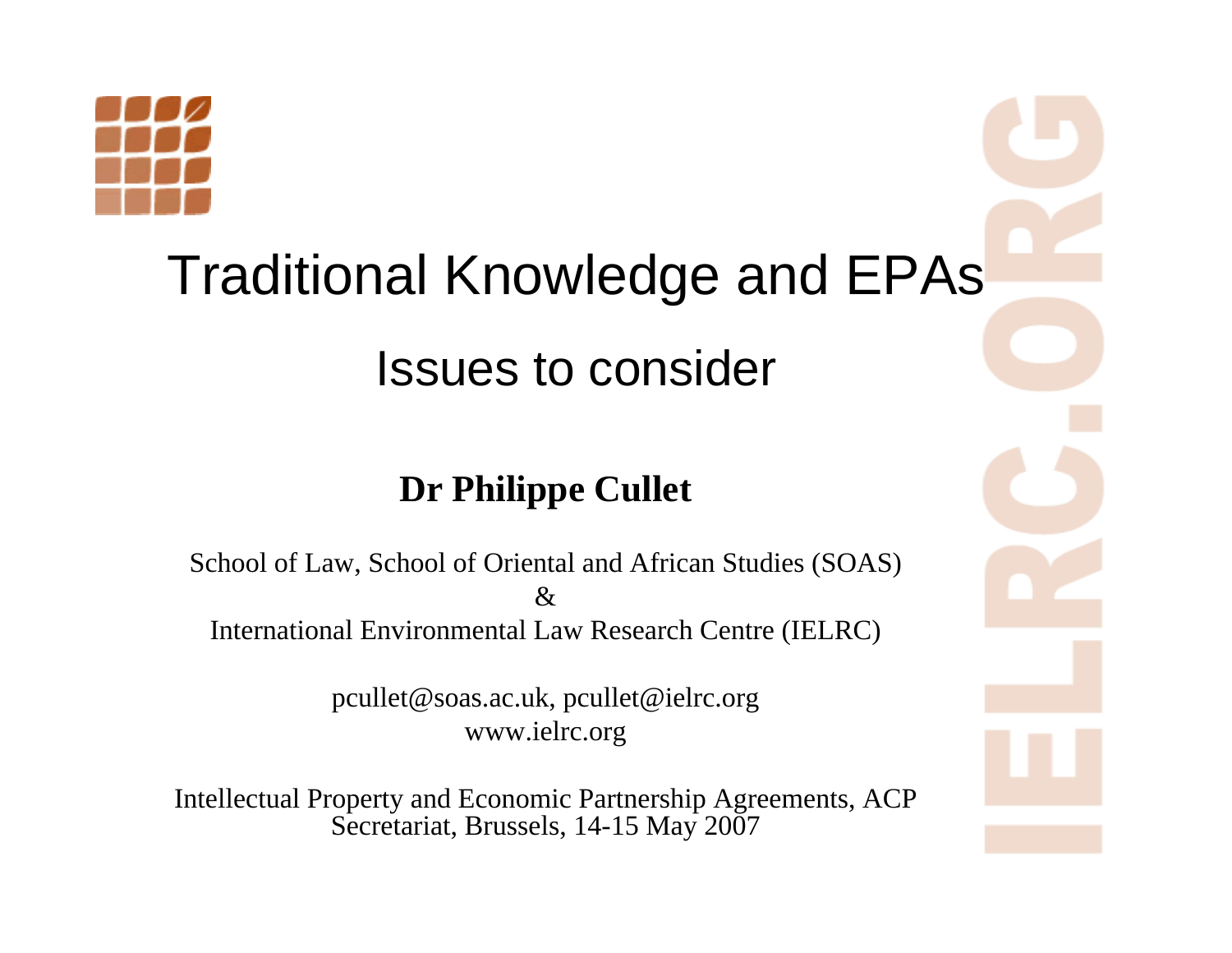

#### Traditional Knowledge and EPAs

#### Issues to consider

#### **Dr Philippe Cullet**

School of Law, School of Oriental and African Studies (SOAS)  $\mathcal{R}$ International Environmental Law Research Centre (IELRC)

> pcullet@soas.ac.uk, pcullet@ielrc.org www.ielrc.org

Intellectual Property and Economic Partnership Agreements, ACP Secretariat, Brussels, 14-15 May 2007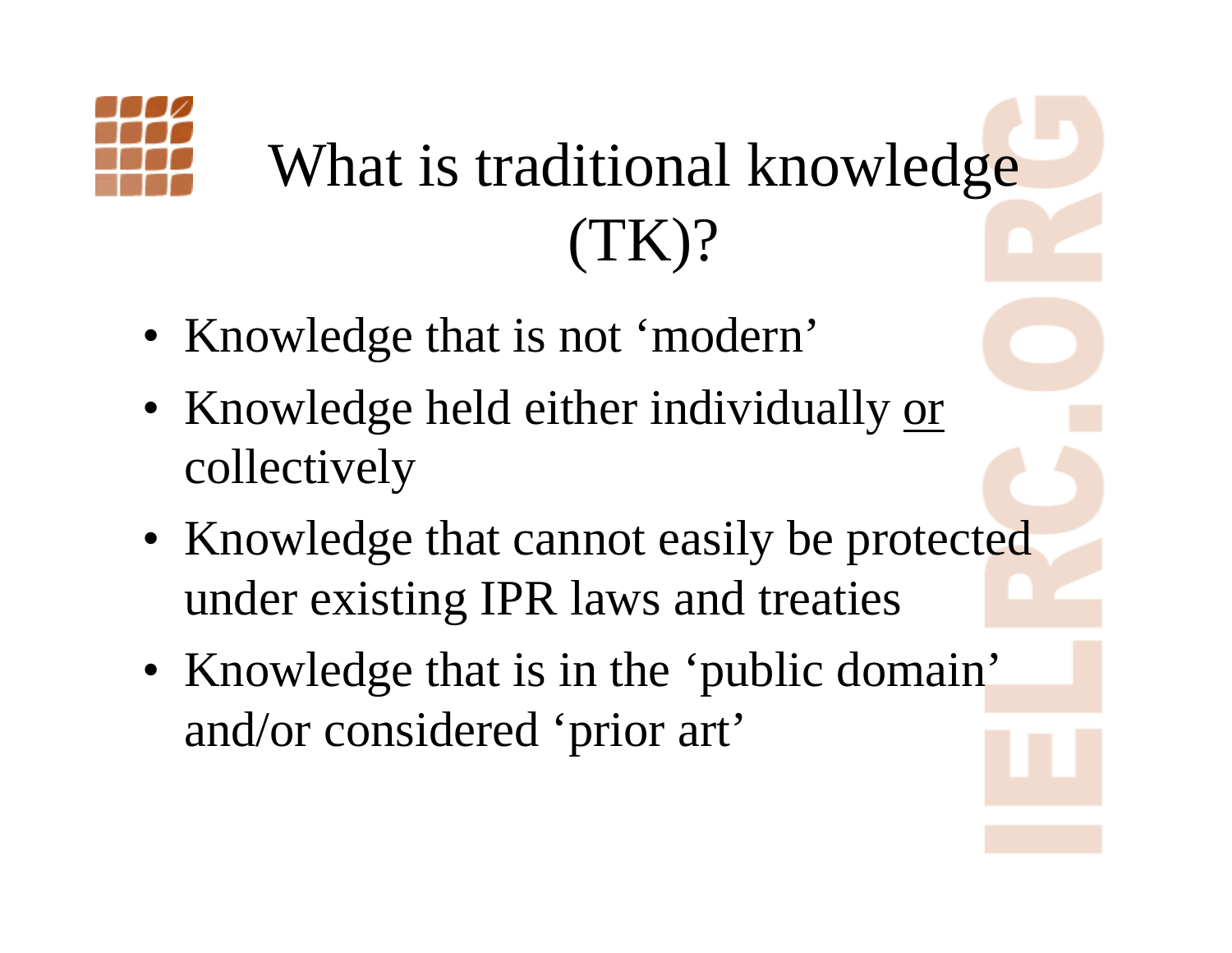

## What is traditional knowledge (TK)?

- Knowledge that is not 'modern'
- Knowledge held either individually <u>or</u> collectively
- Knowledge that cannot easily be protected under existing IPR laws and treaties
- Knowledge that is in the 'public domain' and/or considered 'prior art'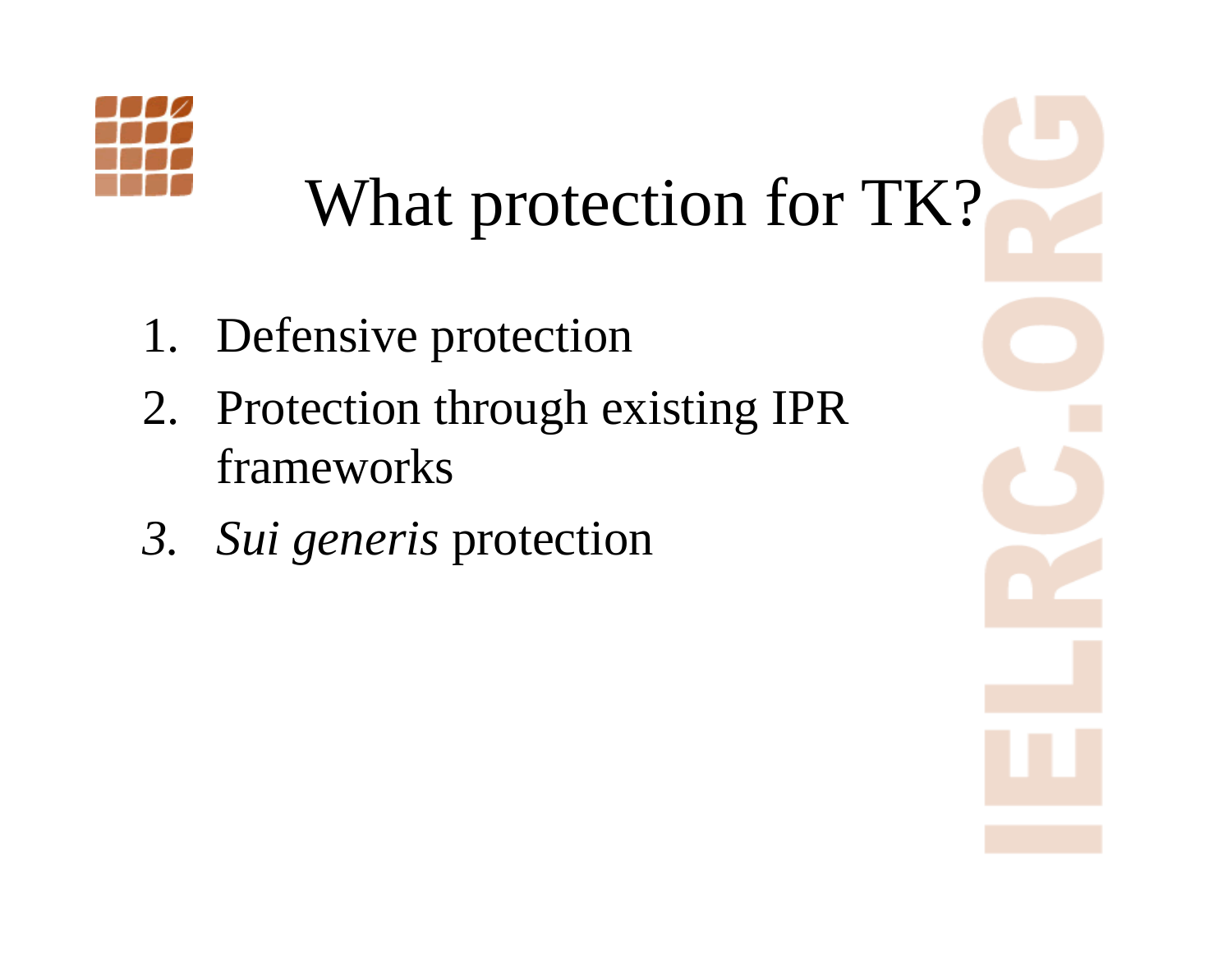

## What protection for TK?

- 1. Defensive protection
- 2. Protection through existing IPR frameworks
- *3. Sui generis* protection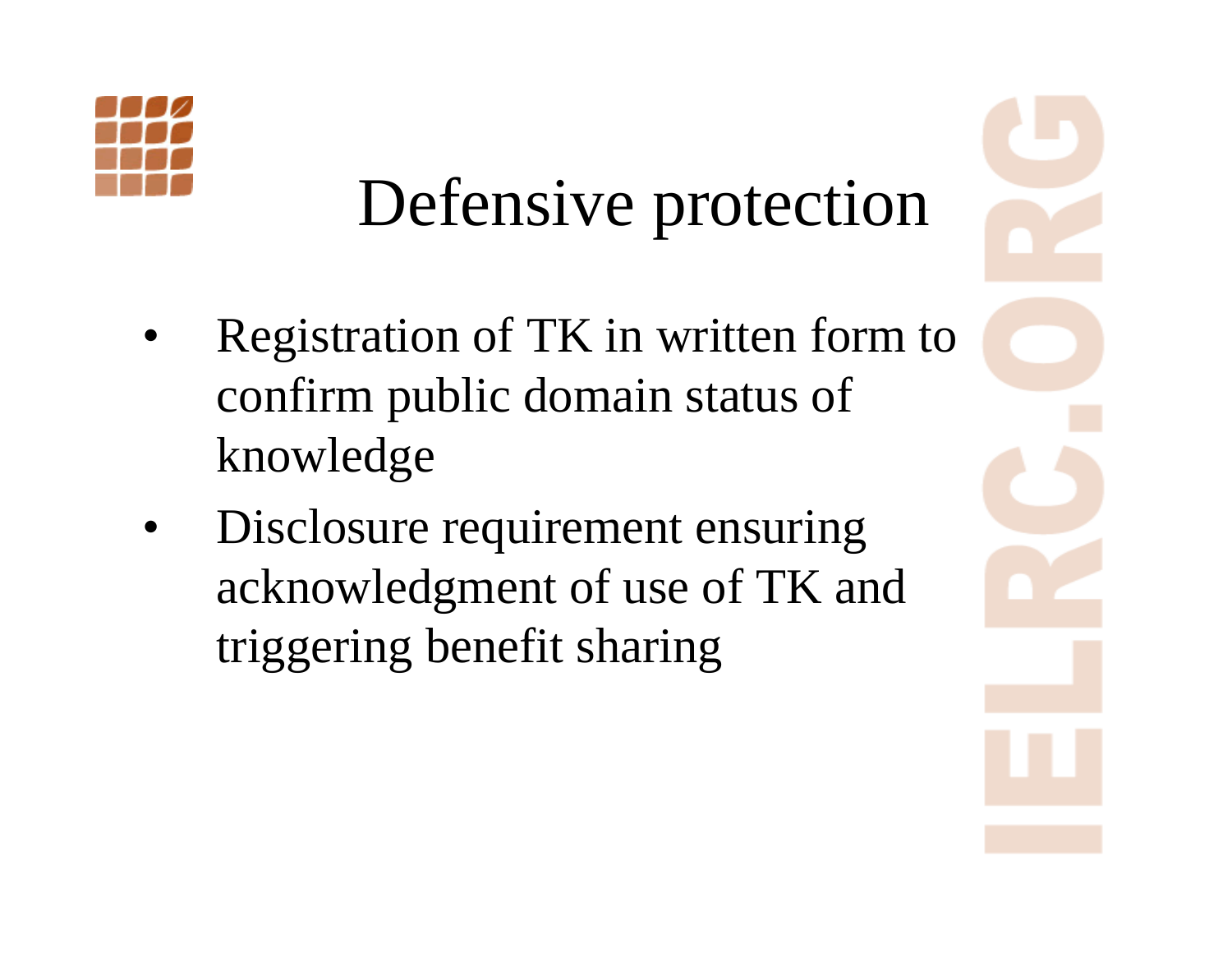

#### Defensive protection

- • Registration of TK in written form to confirm public domain status of knowledge
- • Disclosure requirement ensuring acknowledgment of use of TK and triggering benefit sharing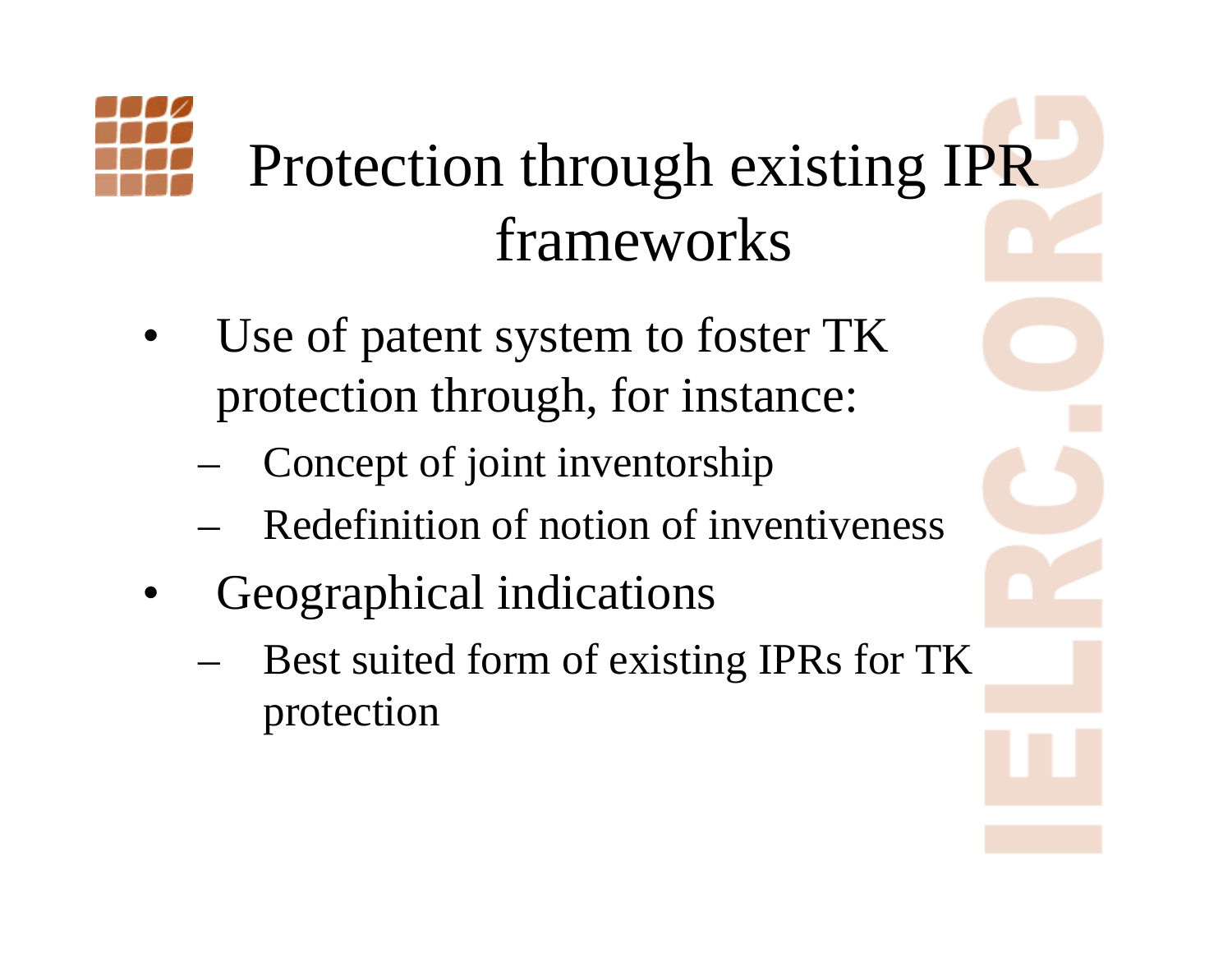

#### Protection through existing IPR frameworks

- • Use of patent system to foster TK protection through, for instance:
	- Concept of joint inventorship
	- Redefinition of notion of inventiveness
- • Geographical indications
	- Best suited form of existing IPRs for TK protection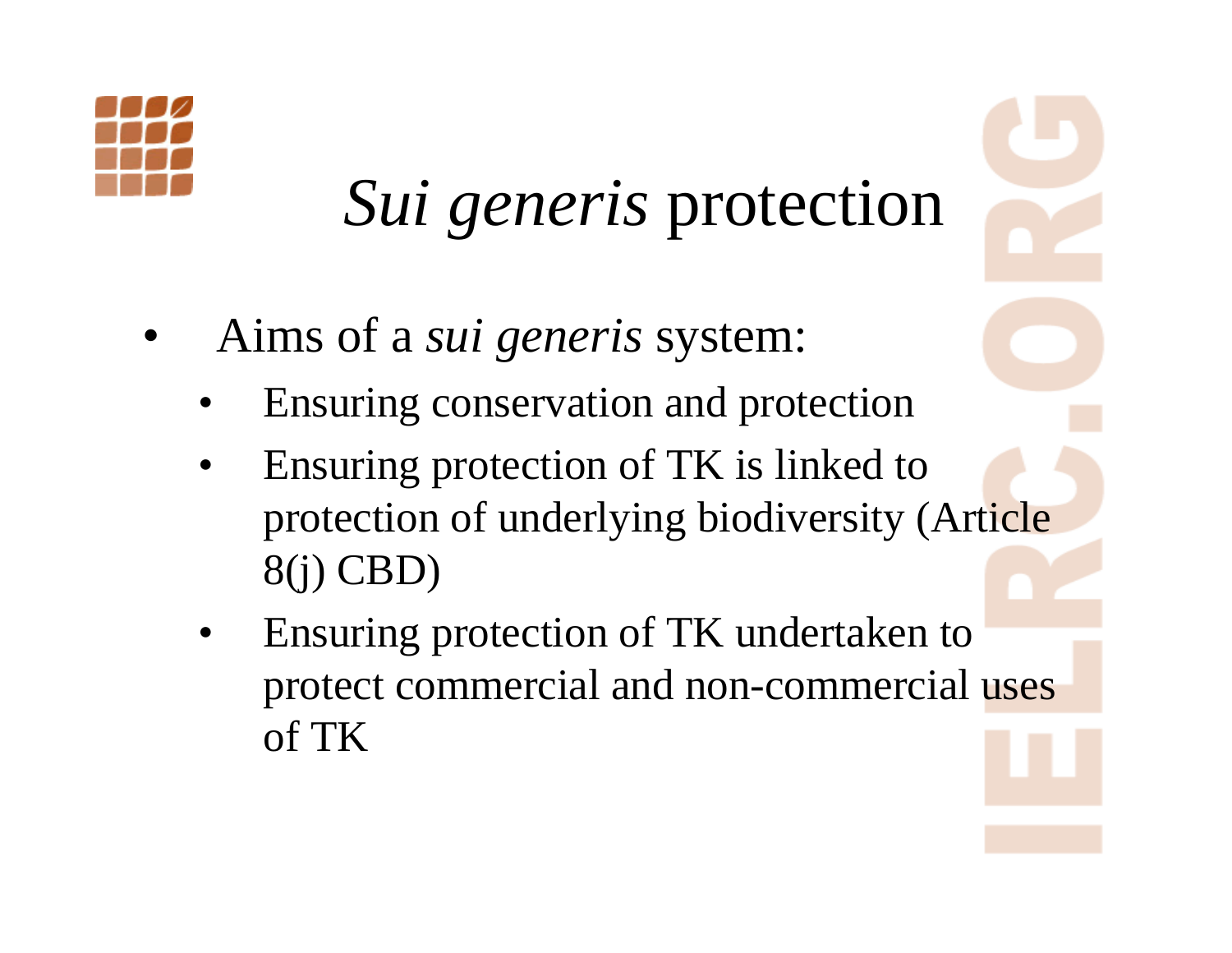

#### *Sui generis* protection

- • Aims of a *sui generis* system:
	- •Ensuring conservation and protection
	- • Ensuring protection of TK is linked to protection of underlying biodiversity (Article 8(j) CBD)
	- • Ensuring protection of TK undertaken to protect commercial and non-commercial uses of TK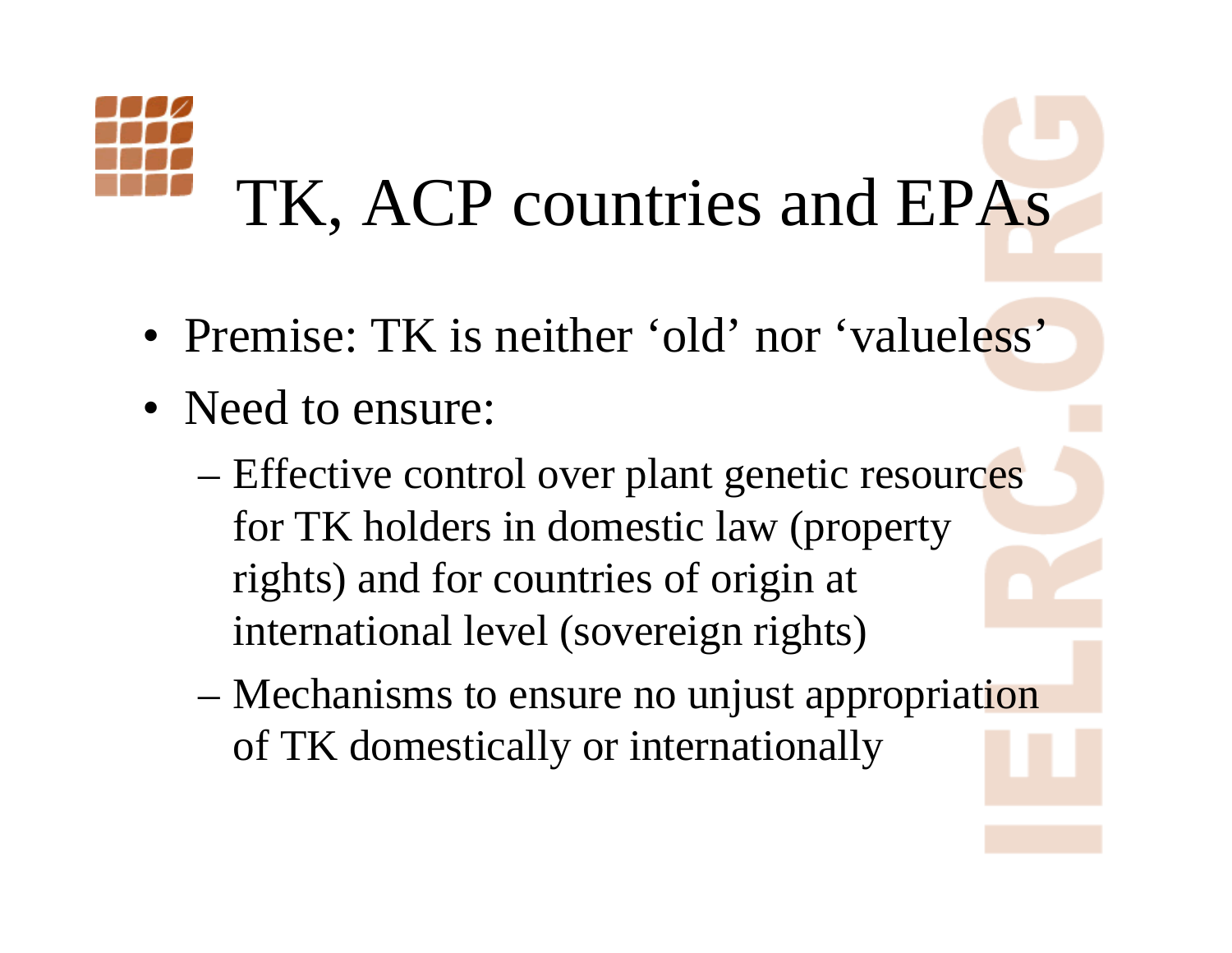# TK, ACP countries and EPAs

- Premise: TK is neither 'old' nor 'valueless'
- Need to ensure:
	- Effective control over plant genetic resources for TK holders in domestic law (property rights) and for countries of origin at international level (sovereign rights)
	- Mechanisms to ensure no unjust appropriation of TK domestically or internationally